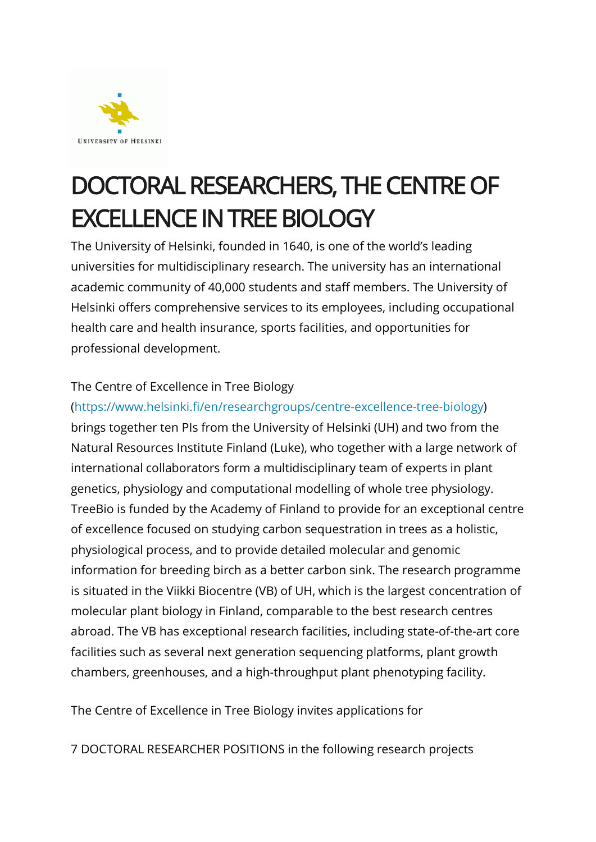

# DOCTORAL RESEARCHERS, THE CENTRE OF **EXCELLENCE IN TREE BIOLOGY**<br>The University of Helsinki, founded in 1640, is one of the world's leading

universities for multidisciplinary research. The university has an international academic community of 40,000 students and staff members. The University of Helsinki offers comprehensive services to its employees, including occupational health care and health insurance, sports facilities, and opportunities for professional development.

#### The Centre of Excellence in Tree Biology

### [\(https://www.helsinki.fi/en/researchgroups/centre-excellence-tree-biology\)](https://www.helsinki.fi/en/researchgroups/centre-excellence-tree-biology) brings together ten PIs from the University of Helsinki (UH) and two from the Natural Resources Institute Finland (Luke), who together with a large network of international collaborators form a multidisciplinary team of experts in plant genetics, physiology and computational modelling of whole tree physiology. TreeBio is funded by the Academy of Finland to provide for an exceptional centre of excellence focused on studying carbon sequestration in trees as a holistic, physiological process, and to provide detailed molecular and genomic information for breeding birch as a better carbon sink. The research programme is situated in the Viikki Biocentre (VB) of UH, which is the largest concentration of molecular plant biology in Finland, comparable to the best research centres abroad. The VB has exceptional research facilities, including state-of-the-art core facilities such as several next generation sequencing platforms, plant growth chambers, greenhouses, and a high-throughput plant phenotyping facility.

The Centre of Excellence in Tree Biology invites applications for

7 DOCTORAL RESEARCHER POSITIONS in the following research projects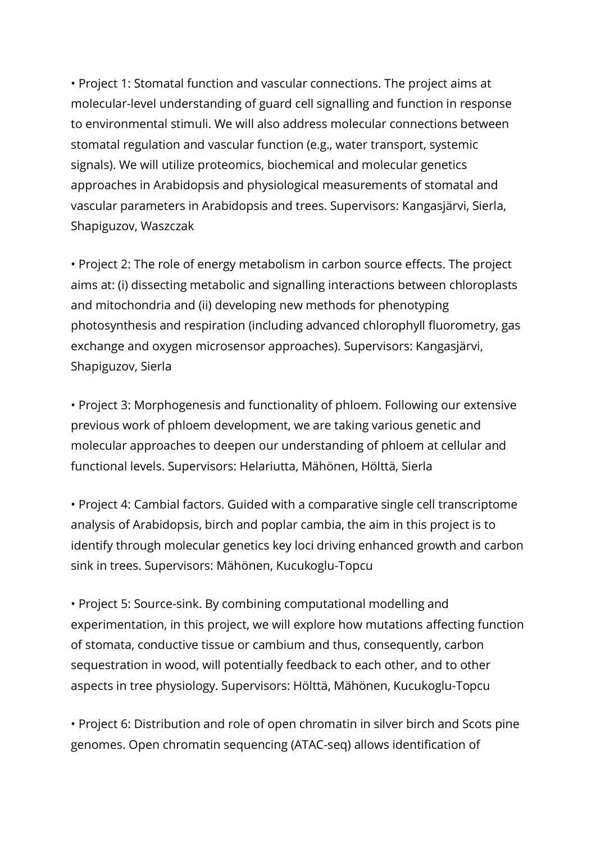• Project 1: Stomatal function and vascular connections. The project aims at molecular-level understanding of guard cell signalling and function in response to environmental stimuli. We will also address molecular connections between stomatal regulation and vascular function (e.g., water transport, systemic signals). We will utilize proteomics, biochemical and molecular genetics approaches in Arabidopsis and physiological measurements of stomatal and vascular parameters in Arabidopsis and trees. Supervisors: Kangasjärvi, Sierla, Shapiguzov, Waszczak

• Project 2: The role of energy metabolism in carbon source effects. The project aims at: (i) dissecting metabolic and signalling interactions between chloroplasts and mitochondria and (ii) developing new methods for phenotyping photosynthesis and respiration (including advanced chlorophyll fluorometry, gas exchange and oxygen microsensor approaches). Supervisors: Kangasjärvi, Shapiguzov, Sierla

• Project 3: Morphogenesis and functionality of phloem. Following our extensive previous work of phloem development, we are taking various genetic and molecular approaches to deepen our understanding of phloem at cellular and functional levels. Supervisors: Helariutta, Mähönen, Hölttä, Sierla

• Project 4: Cambial factors. Guided with a comparative single cell transcriptome analysis of Arabidopsis, birch and poplar cambia, the aim in this project is to identify through molecular genetics key loci driving enhanced growth and carbon sink in trees. Supervisors: Mähönen, Kucukoglu-Topcu

• Project 5: Source-sink. By combining computational modelling and experimentation, in this project, we will explore how mutations affecting function of stomata, conductive tissue or cambium and thus, consequently, carbon sequestration in wood, will potentially feedback to each other, and to other aspects in tree physiology. Supervisors: Hölttä, Mähönen, Kucukoglu-Topcu

• Project 6: Distribution and role of open chromatin in silver birch and Scots pine genomes. Open chromatin sequencing (ATAC-seq) allows identification of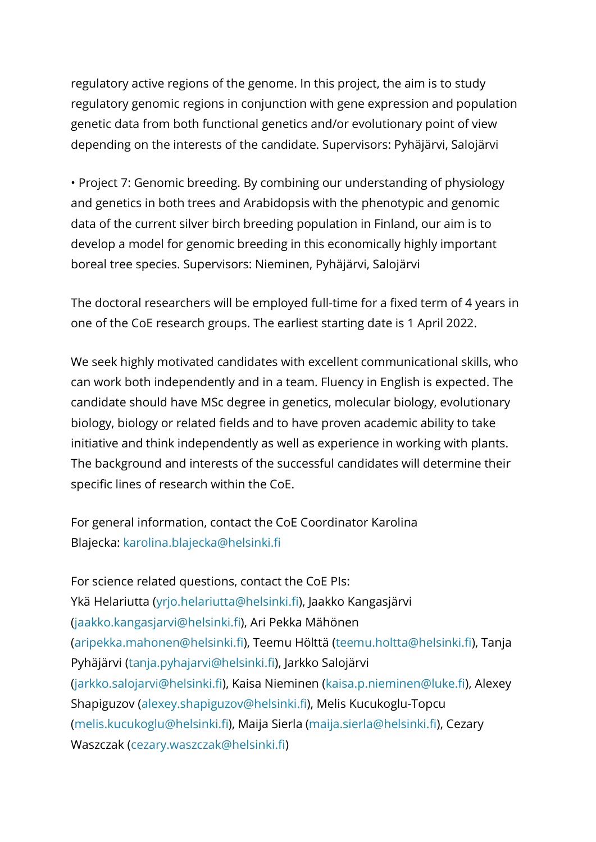regulatory active regions of the genome. In this project, the aim is to study regulatory genomic regions in conjunction with gene expression and population genetic data from both functional genetics and/or evolutionary point of view depending on the interests of the candidate. Supervisors: Pyhäjärvi, Salojärvi

• Project 7: Genomic breeding. By combining our understanding of physiology and genetics in both trees and Arabidopsis with the phenotypic and genomic data of the current silver birch breeding population in Finland, our aim is to develop a model for genomic breeding in this economically highly important boreal tree species. Supervisors: Nieminen, Pyhäjärvi, Salojärvi

The doctoral researchers will be employed full-time for a fixed term of 4 years in one of the CoE research groups. The earliest starting date is 1 April 2022.

We seek highly motivated candidates with excellent communicational skills, who can work both independently and in a team. Fluency in English is expected. The candidate should have MSc degree in genetics, molecular biology, evolutionary biology, biology or related fields and to have proven academic ability to take initiative and think independently as well as experience in working with plants. The background and interests of the successful candidates will determine their specific lines of research within the CoE.

For general information, contact the CoE Coordinator Karolina Blajecka: [karolina.blajecka@helsinki.fi](mailto:karolina.blajecka@helsinki.fi)

For science related questions, contact the CoE PIs: Ykä Helariutta [\(yrjo.helariutta@helsinki.fi\)](mailto:yrjo.helariutta@helsinki.fi), Jaakko Kangasjärvi [\(jaakko.kangasjarvi@helsinki.fi](mailto:jaakko.kangasjarvi@helsinki.fi)), Ari Pekka Mähönen [\(aripekka.mahonen@helsinki.fi](mailto:aripekka.mahonen@helsinki.fi)), Teemu Hölttä ([teemu.holtta@helsinki.fi\)](mailto:teemu.holtta@helsinki.fi), Tanja Pyhäjärvi [\(tanja.pyhajarvi@helsinki.fi\)](mailto:tanja.pyhajarvi@helsinki.fi), Jarkko Salojärvi [\(jarkko.salojarvi@helsinki.fi\)](mailto:jarkko.salojarvi@helsinki.fi), Kaisa Nieminen [\(kaisa.p.nieminen@luke.fi\)](mailto:kaisa.p.nieminen@luke.fi), Alexey Shapiguzov [\(alexey.shapiguzov@helsinki.fi](mailto:alexey.shapiguzov@helsinki.fi)), Melis Kucukoglu-Topcu [\(melis.kucukoglu@helsinki.fi](mailto:melis.kucukoglu@helsinki.fi)), Maija Sierla ([maija.sierla@helsinki.fi\)](mailto:maija.sierla@helsinki.fi), Cezary Waszczak [\(cezary.waszczak@helsinki.fi\)](mailto:cezary.waszczak@helsinki.fi)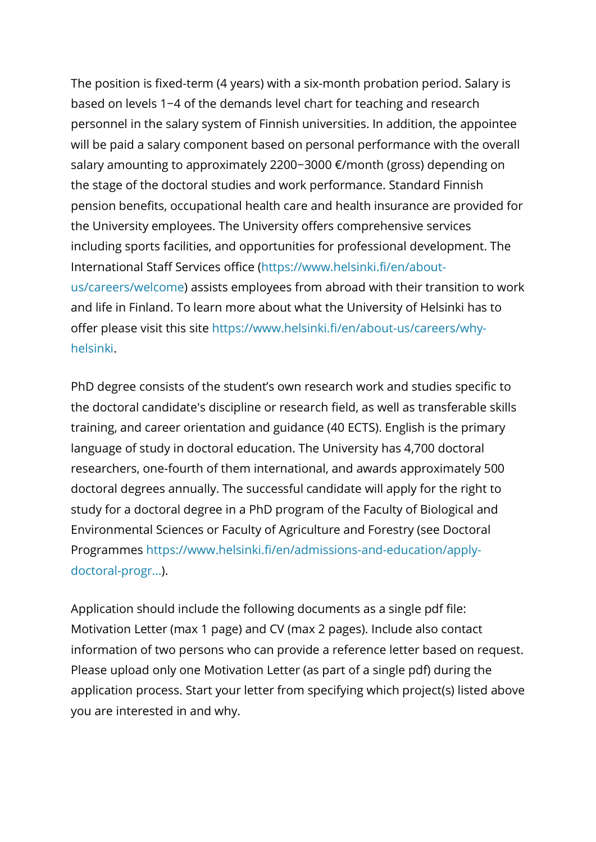The position is fixed-term (4 years) with a six-month probation period. Salary is based on levels 1−4 of the demands level chart for teaching and research personnel in the salary system of Finnish universities. In addition, the appointee will be paid a salary component based on personal performance with the overall salary amounting to approximately 2200−3000 €/month (gross) depending on the stage of the doctoral studies and work performance. Standard Finnish pension benefits, occupational health care and health insurance are provided for the University employees. The University offers comprehensive services including sports facilities, and opportunities for professional development. The International Staff Services office [\(https://www.helsinki.fi/en/about](https://www.helsinki.fi/en/about-us/careers/welcome)[us/careers/welcome\)](https://www.helsinki.fi/en/about-us/careers/welcome) assists employees from abroad with their transition to work and life in Finland. To learn more about what the University of Helsinki has to offer please visit this site [https://www.helsinki.fi/en/about-us/careers/why](https://www.helsinki.fi/en/about-us/careers/why-helsinki)[helsinki.](https://www.helsinki.fi/en/about-us/careers/why-helsinki)

PhD degree consists of the student's own research work and studies specific to the doctoral candidate's discipline or research field, as well as transferable skills training, and career orientation and guidance (40 ECTS). English is the primary language of study in doctoral education. The University has 4,700 doctoral researchers, one-fourth of them international, and awards approximately 500 doctoral degrees annually. The successful candidate will apply for the right to study for a doctoral degree in a PhD program of the Faculty of Biological and Environmental Sciences or Faculty of Agriculture and Forestry (see Doctoral Programmes [https://www.helsinki.fi/en/admissions-and-education/apply](https://www.helsinki.fi/en/admissions-and-education/apply-doctoral-programmes/doctoral-schools-and-doctoral-programmes/doctoral-school-environmental-food-and-biological-sciences)[doctoral-progr...\)](https://www.helsinki.fi/en/admissions-and-education/apply-doctoral-programmes/doctoral-schools-and-doctoral-programmes/doctoral-school-environmental-food-and-biological-sciences).

Application should include the following documents as a single pdf file: Motivation Letter (max 1 page) and CV (max 2 pages). Include also contact information of two persons who can provide a reference letter based on request. Please upload only one Motivation Letter (as part of a single pdf) during the application process. Start your letter from specifying which project(s) listed above you are interested in and why.